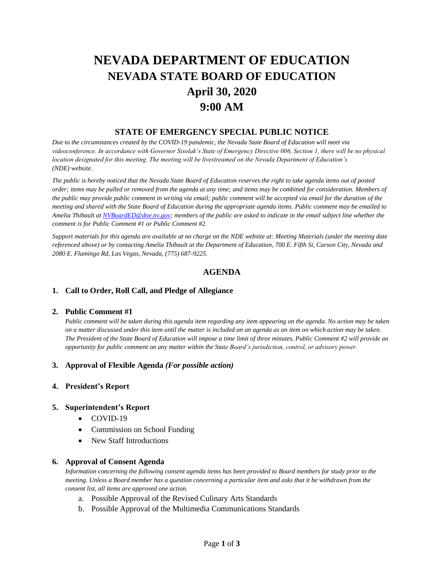# **NEVADA DEPARTMENT OF EDUCATION NEVADA STATE BOARD OF EDUCATION April 30, 2020 9:00 AM**

# **STATE OF EMERGENCY SPECIAL PUBLIC NOTICE**

*Due to the circumstances created by the COVID-19 pandemic, the Nevada State Board of Education will meet via videoconference. In accordance with Governor Sisolak's State of Emergency Directive 006, Section 1, there will be no physical location designated for this meeting. The meeting will be livestreamed on the Nevada Department of Education's (NDE) website.* 

*The public is hereby noticed that the Nevada State Board of Education reserves the right to take agenda items out of posted order; items may be pulled or removed from the agenda at any time; and items may be combined for consideration. Members of the public may provide public comment in writing via email; public comment will be accepted via email for the duration of the meeting and shared with the State Board of Education during the appropriate agenda items. Public comment may be emailed to Amelia Thibault at [NVBoardED@doe.nv.gov;](mailto:NVBoardED@doe.nv.gov) members of the public are asked to indicate in the email subject line whether the comment is for Public Comment #1 or Public Comment #2.* 

*Support materials for this agenda are available at no charge on the NDE website at: Meeting Materials (under the meeting date referenced above) or by contacting Amelia Thibault at the Department of Education, 700 E. Fifth St, Carson City, Nevada and 2080 E. Flamingo Rd, Las Vegas, Nevada, (775) 687-9225.*

# **AGENDA**

## **1. Call to Order, Roll Call, and Pledge of Allegiance**

#### **2. Public Comment #1**

*Public comment will be taken during this agenda item regarding any item appearing on the agenda. No action may be taken on a matter discussed under this item until the matter is included on an agenda as an item on which action may be taken. The President of the State Board of Education will impose a time limit of three minutes. Public Comment #2 will provide an opportunity for public comment on any matter within the State Board's jurisdiction, control, or advisory power.*

#### **3. Approval of Flexible Agenda** *(For possible action)*

#### **4. President's Report**

#### **5. Superintendent's Report**

- COVID-19
- Commission on School Funding
- New Staff Introductions

#### **6. Approval of Consent Agenda**

*Information concerning the following consent agenda items has been provided to Board members for study prior to the meeting. Unless a Board member has a question concerning a particular item and asks that it be withdrawn from the consent list, all items are approved one action.* 

- a. Possible Approval of the Revised Culinary Arts Standards
- b. Possible Approval of the Multimedia Communications Standards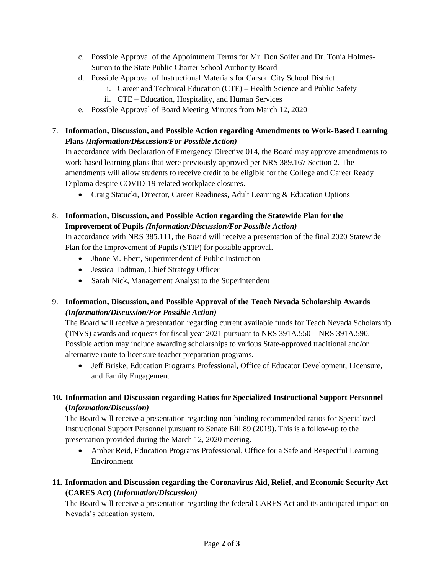- c. Possible Approval of the Appointment Terms for Mr. Don Soifer and Dr. Tonia Holmes-Sutton to the State Public Charter School Authority Board
- d. Possible Approval of Instructional Materials for Carson City School District
	- i. Career and Technical Education (CTE) Health Science and Public Safety
	- ii. CTE Education, Hospitality, and Human Services
- e. Possible Approval of Board Meeting Minutes from March 12, 2020
- 7. **Information, Discussion, and Possible Action regarding Amendments to Work-Based Learning Plans** *(Information/Discussion/For Possible Action)*

In accordance with Declaration of Emergency Directive 014, the Board may approve amendments to work-based learning plans that were previously approved per NRS 389.167 Section 2. The amendments will allow students to receive credit to be eligible for the College and Career Ready Diploma despite COVID-19-related workplace closures.

- Craig Statucki, Director, Career Readiness, Adult Learning & Education Options
- 8. **Information, Discussion, and Possible Action regarding the Statewide Plan for the Improvement of Pupils** *(Information/Discussion/For Possible Action)*

In accordance with NRS 385.111, the Board will receive a presentation of the final 2020 Statewide Plan for the Improvement of Pupils (STIP) for possible approval.

- Jhone M. Ebert, Superintendent of Public Instruction
- Jessica Todtman, Chief Strategy Officer
- Sarah Nick, Management Analyst to the Superintendent
- 9. **Information, Discussion, and Possible Approval of the Teach Nevada Scholarship Awards** *(Information/Discussion/For Possible Action)*

The Board will receive a presentation regarding current available funds for Teach Nevada Scholarship (TNVS) awards and requests for fiscal year 2021 pursuant to NRS 391A.550 – NRS 391A.590. Possible action may include awarding scholarships to various State-approved traditional and/or alternative route to licensure teacher preparation programs.

• Jeff Briske, Education Programs Professional, Office of Educator Development, Licensure, and Family Engagement

# **10. Information and Discussion regarding Ratios for Specialized Instructional Support Personnel (***Information/Discussion)*

The Board will receive a presentation regarding non-binding recommended ratios for Specialized Instructional Support Personnel pursuant to Senate Bill 89 (2019). This is a follow-up to the presentation provided during the March 12, 2020 meeting.

• Amber Reid, Education Programs Professional, Office for a Safe and Respectful Learning Environment

# **11. Information and Discussion regarding the Coronavirus Aid, Relief, and Economic Security Act (CARES Act) (***Information/Discussion)*

The Board will receive a presentation regarding the federal CARES Act and its anticipated impact on Nevada's education system.